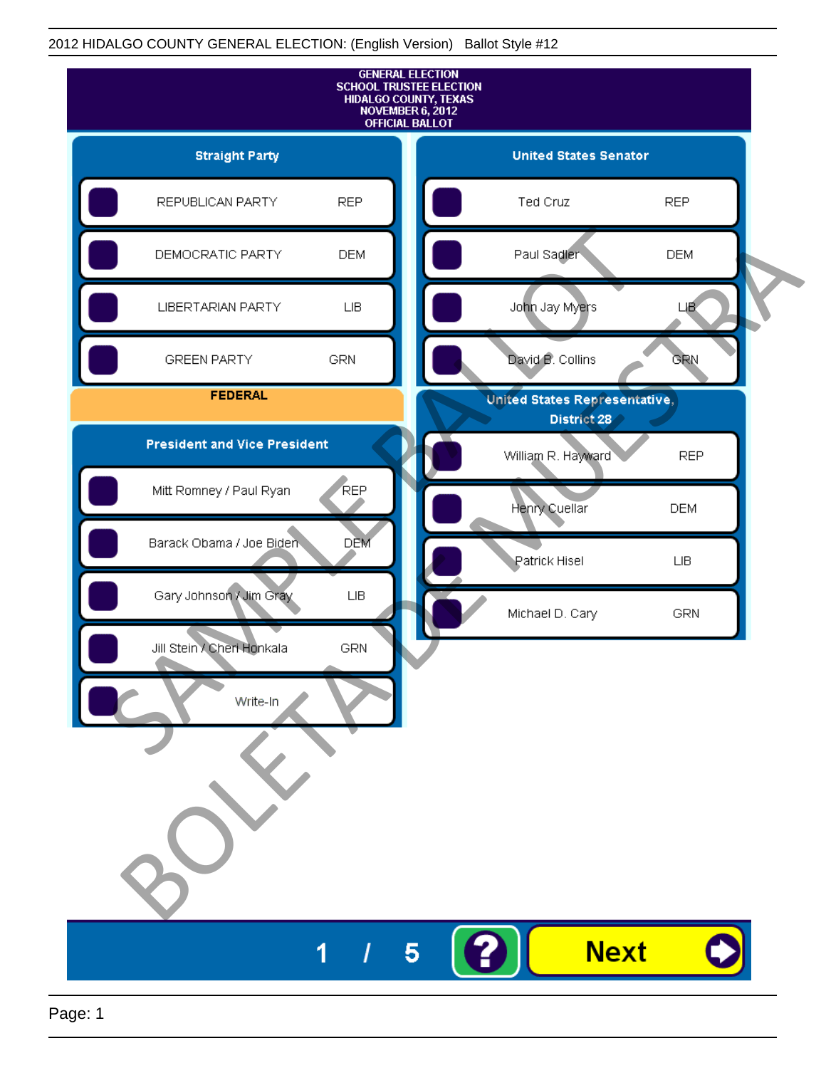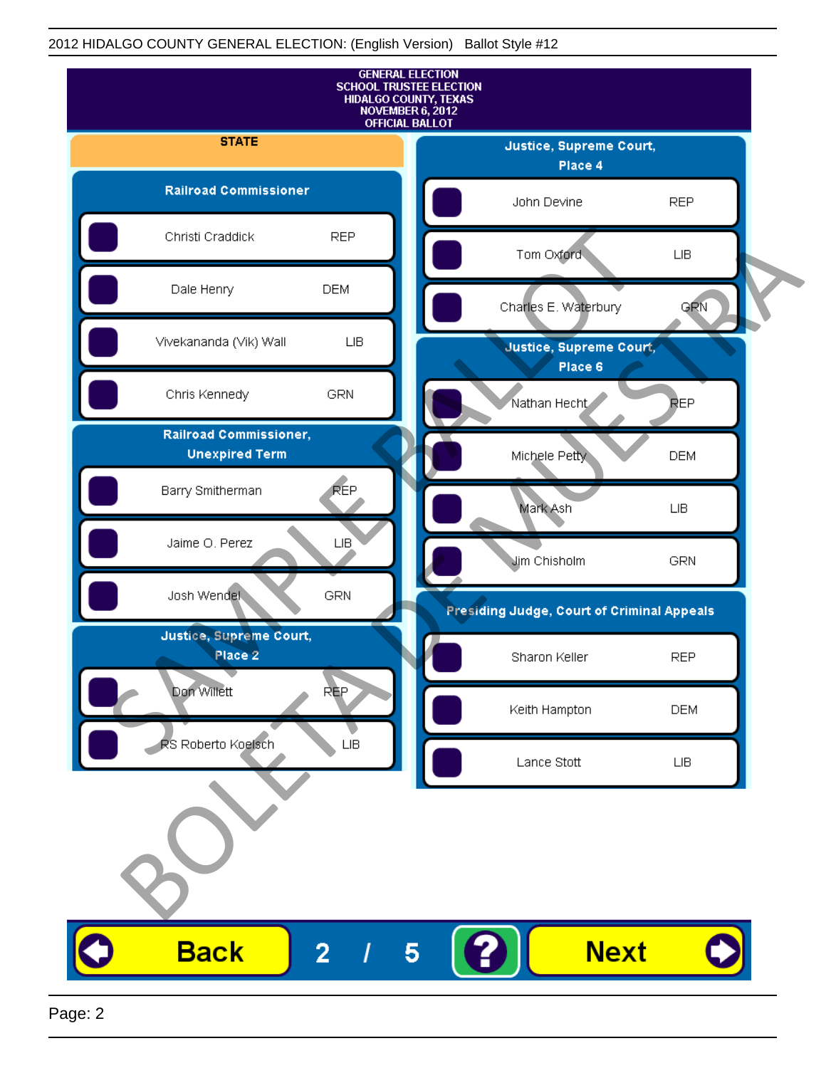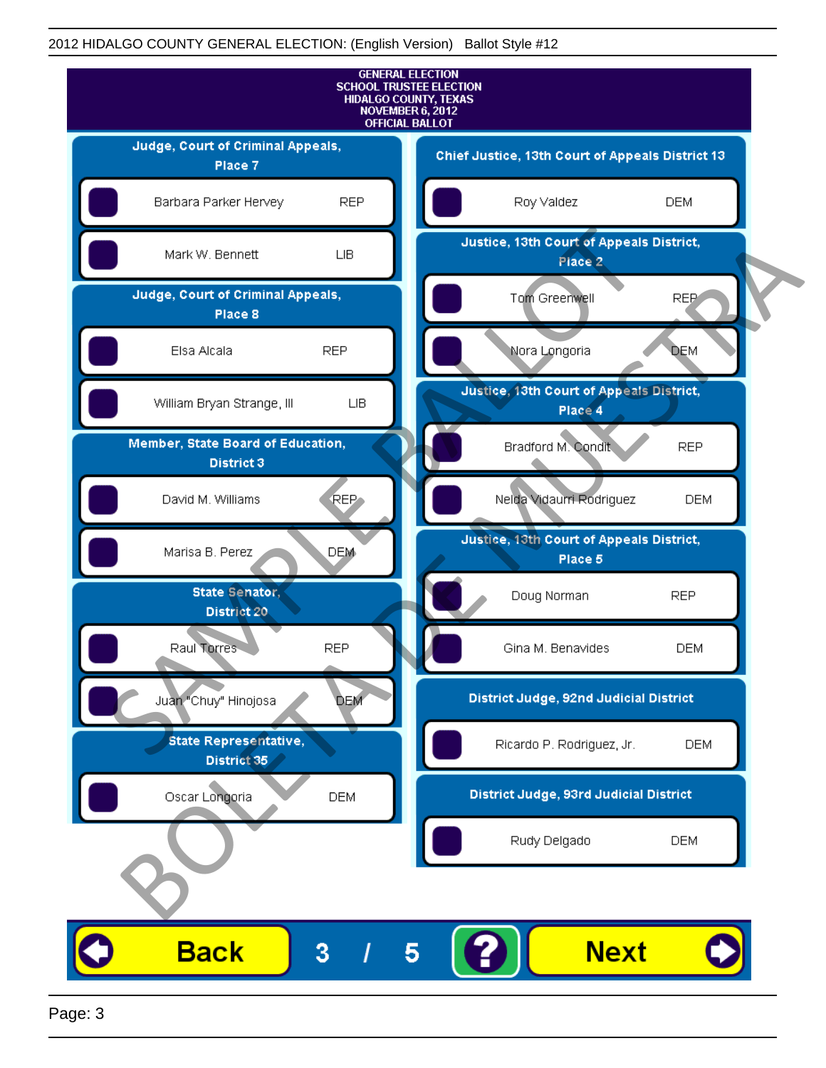

Page: 3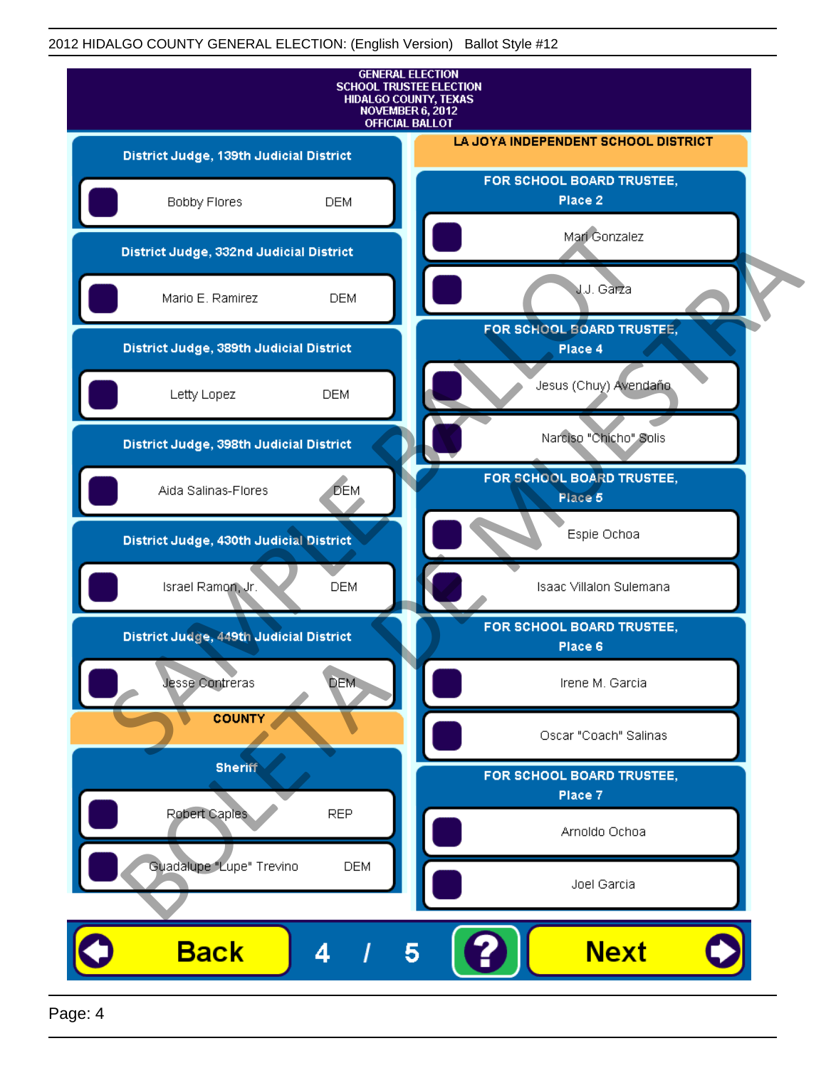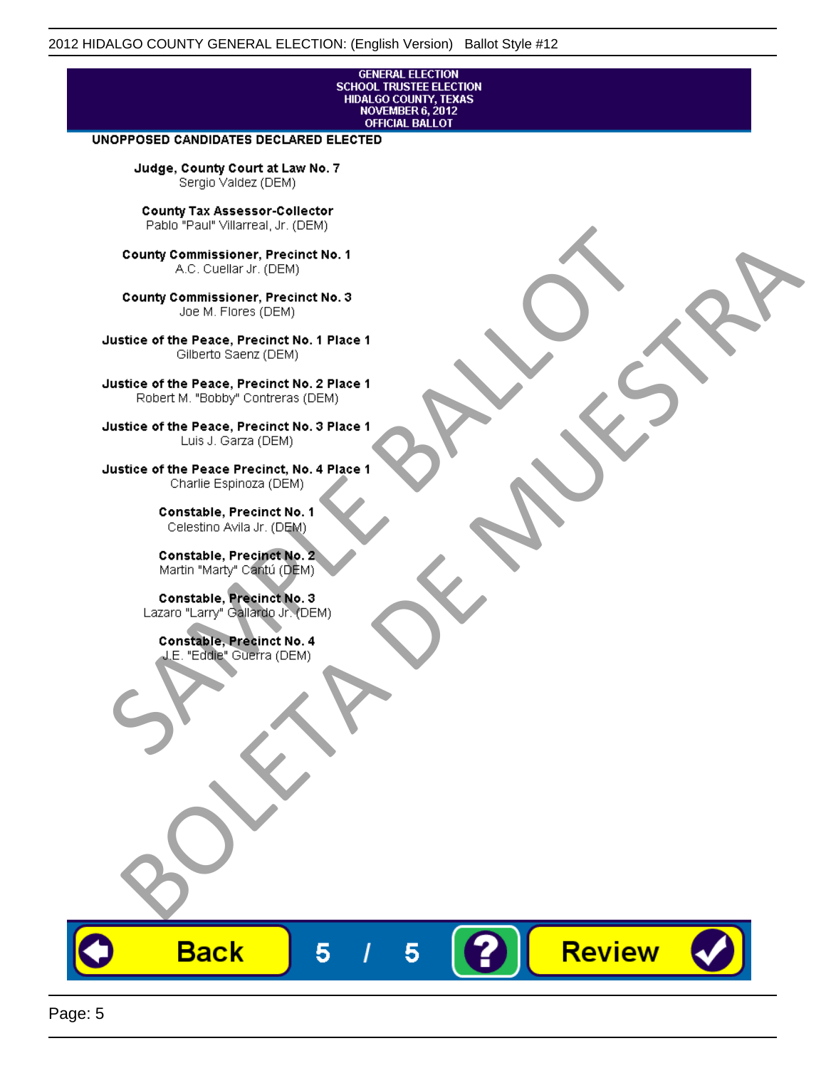# **GENERAL ELECTION** SCHOOL TRUSTEE ELECTION<br>HIDALGO COUNTY, TEXAS<br>NOVEMBER 6, 2012<br>OFFICIAL BALLOT

Review

#### UNOPPOSED CANDIDATES DECLARED ELECTED

Judge, County Court at Law No. 7 Sergio Valdez (DEM)

County Tax Assessor-Collector

Fall Paul Visitera, Precinct No. 1<br>
County Commissioner, Precinct No. 1<br>
SAC. Cutellar JF: (DEM)<br>
County Commissioner, Precinct No. 2<br>
Ulattice of the Peace, Precinct No. 2 Place 1<br>
Counter M. "Bobby" Contrers (DEM)<br>
Ulatt County Commissioner, Precinct No. 1<br>
Accounts: A County Commissioner, Precinct No. 3<br>
Use of the Peace, Precinct No. 1<br>
Siste of the Peace, Precinct No. 1<br>
There is a control of the County Commission (DEM)<br>
There is a cont

**Back** 

5

5

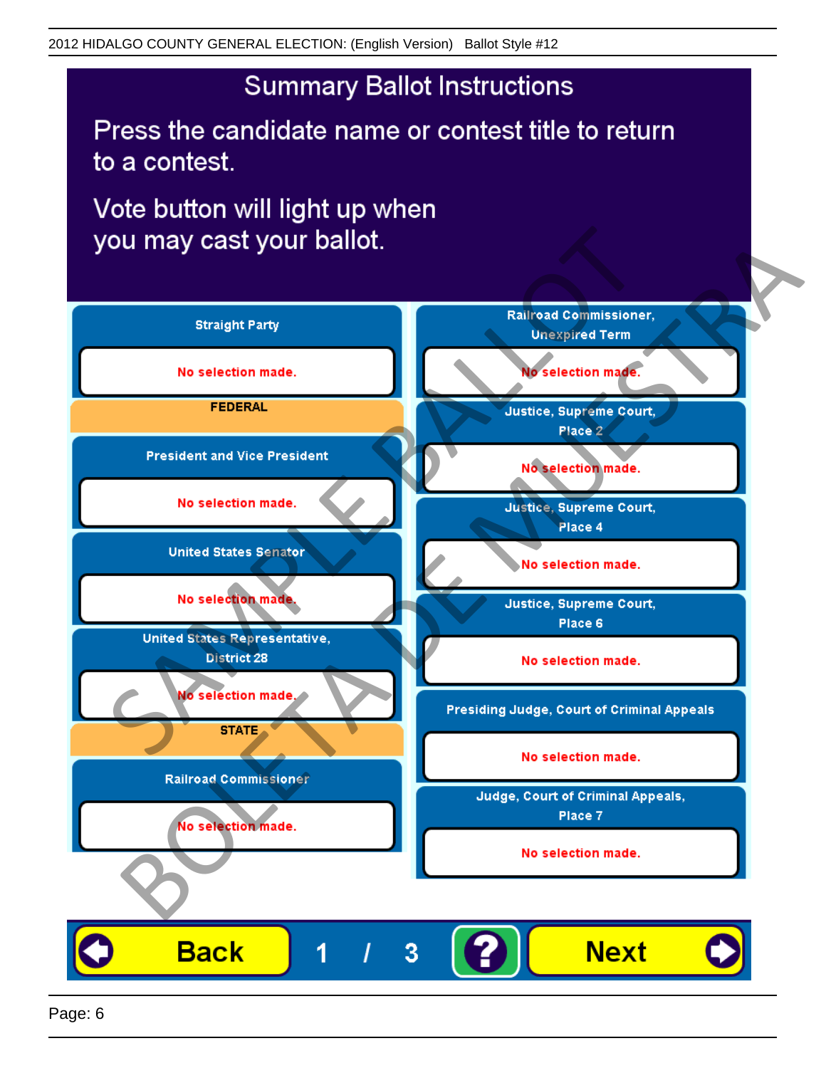## **Summary Ballot Instructions**

Press the candidate name or contest title to return to a contest.

Vote button will light up when

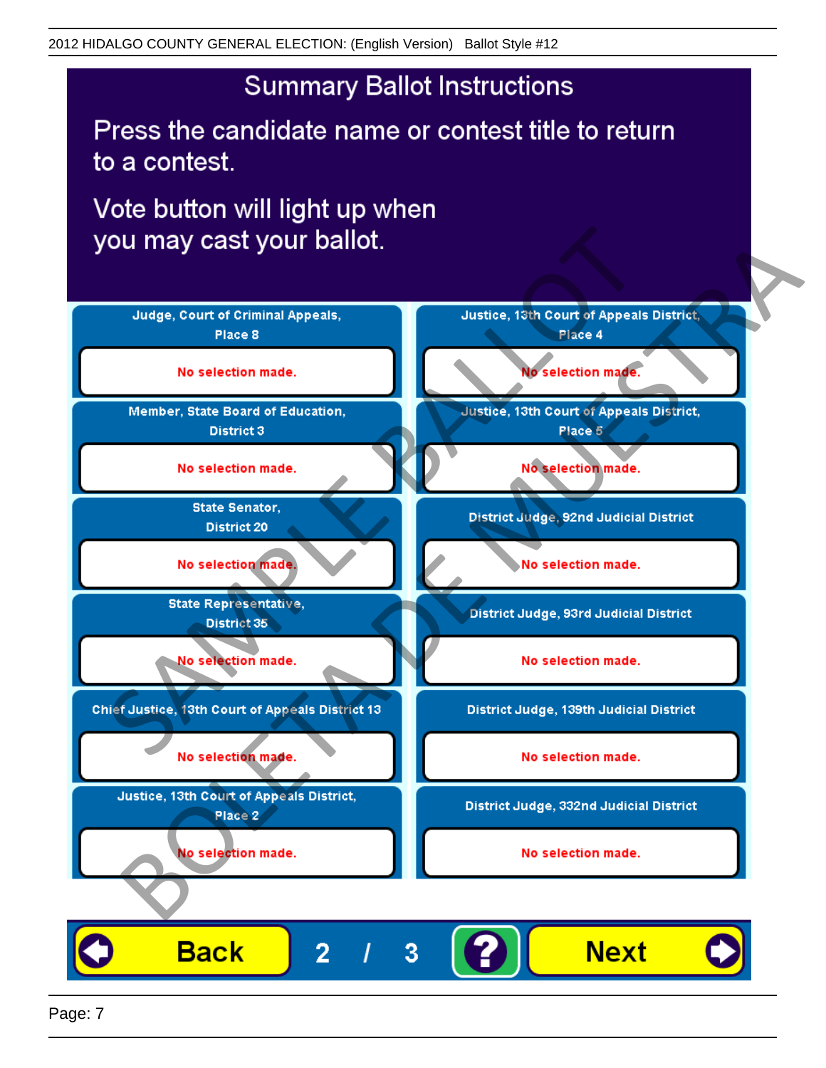## **Summary Ballot Instructions**

Press the candidate name or contest title to return to a contest.

Vote button will light up when